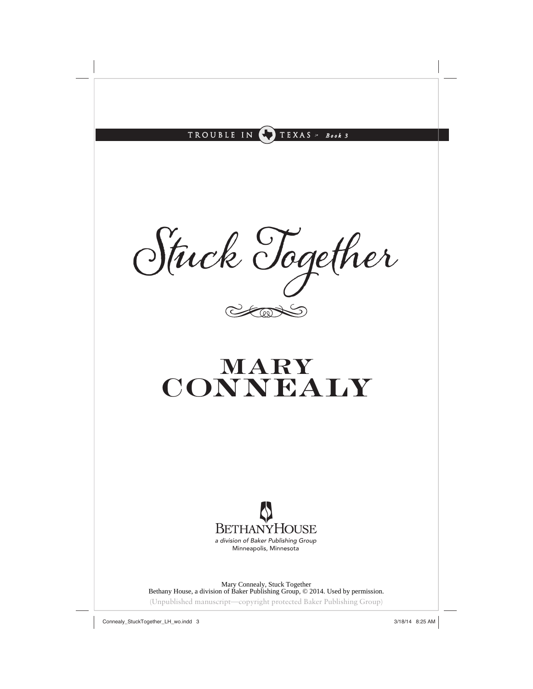TROUBLE IN **C.** TEXAS > Book 3

Stuck Together  $\leftarrow$ 

## **MARY CONNEALY**

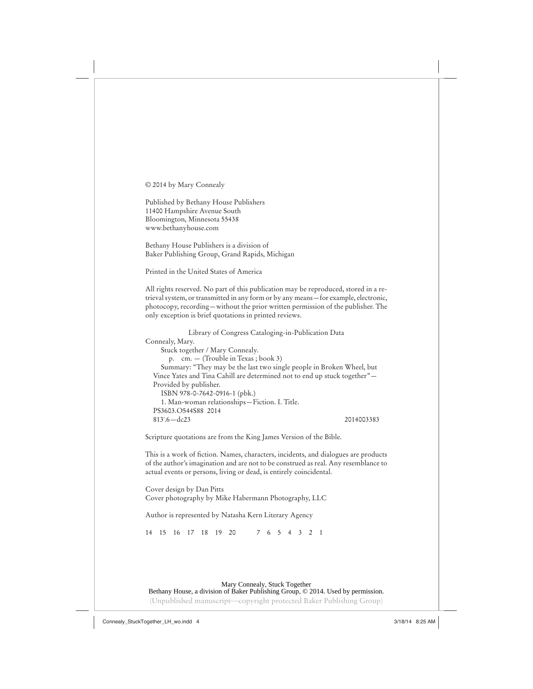© 2014 by Mary Connealy

Published by Bethany House Publishers 11400 Hampshire Avenue South Bloomington, Minnesota 55438 www.bethanyhouse.com

Bethany House Publishers is a division of Baker Publishing Group, Grand Rapids, Michigan

Printed in the United States of America

All rights reserved. No part of this publication may be reproduced, stored in a retrieval system, or transmitted in any form or by any means—for example, electronic, photocopy, recording—without the prior written permission of the publisher. The only exception is brief quotations in printed reviews.

Library of Congress Cataloging-in-Publication Data Connealy, Mary. Stuck together / Mary Connealy. p. cm. — (Trouble in Texas ; book 3) Summary: "They may be the last two single people in Broken Wheel, but Vince Yates and Tina Cahill are determined not to end up stuck together"— Provided by publisher. ISBN 978-0-7642-0916-1 (pbk.) 1. Man-woman relationships—Fiction. I. Title. PS3603.O544S88 2014 813' 6 - dc23 2014003383

Scripture quotations are from the King James Version of the Bible.

This is a work of fiction. Names, characters, incidents, and dialogues are products of the author's imagination and are not to be construed as real. Any resemblance to actual events or persons, living or dead, is entirely coincidental.

Cover design by Dan Pitts Cover photography by Mike Habermann Photography, LLC

Author is represented by Natasha Kern Literary Agency

14 15 16 17 18 19 20 7 6 5 4 3 2 1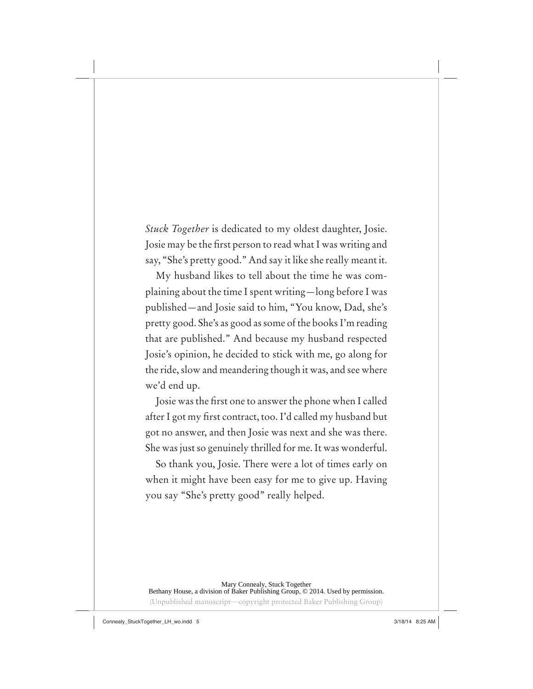*Stuck Together* is dedicated to my oldest daughter, Josie. Josie may be the first person to read what I was writing and say, "She's pretty good." And say it like she really meant it.

My husband likes to tell about the time he was complaining about the time I spent writing—long before I was published—and Josie said to him, "You know, Dad, she's pretty good. She's as good as some of the books I'm reading that are published." And because my husband respected Josie's opinion, he decided to stick with me, go along for the ride, slow and meandering though it was, and see where we'd end up.

Josie was the first one to answer the phone when I called after I got my first contract, too. I'd called my husband but got no answer, and then Josie was next and she was there. She was just so genuinely thrilled for me. It was wonderful.

So thank you, Josie. There were a lot of times early on when it might have been easy for me to give up. Having you say "She's pretty good" really helped.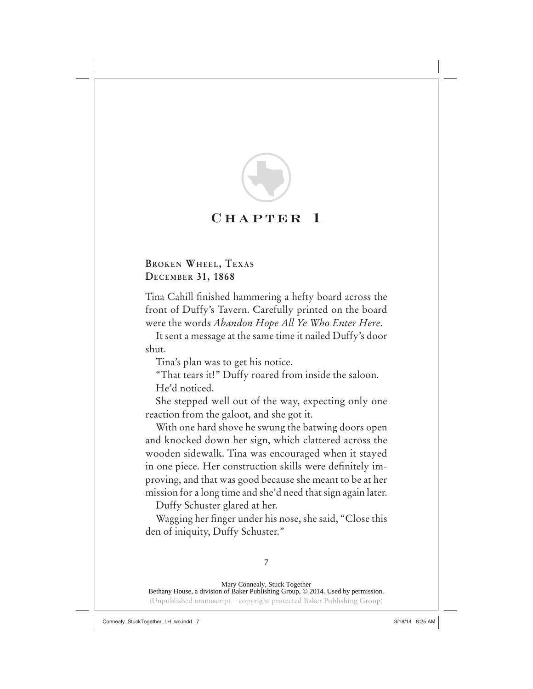

## **Chapter 1**

## **BROK EN WH EEL, TEX AS DECEM BER 31, 1868**

Tina Cahill finished hammering a hefty board across the front of Duffy's Tavern. Carefully printed on the board were the words *Abandon Hope All Ye Who Enter Here*.

It sent a message at the same time it nailed Duffy's door shut.

Tina's plan was to get his notice.

"That tears it!" Duffy roared from inside the saloon. He'd noticed.

She stepped well out of the way, expecting only one reaction from the galoot, and she got it.

With one hard shove he swung the batwing doors open and knocked down her sign, which clattered across the wooden sidewalk. Tina was encouraged when it stayed in one piece. Her construction skills were definitely improving, and that was good because she meant to be at her mission for a long time and she'd need that sign again later.

Duffy Schuster glared at her.

Wagging her finger under his nose, she said, "Close this den of iniquity, Duffy Schuster."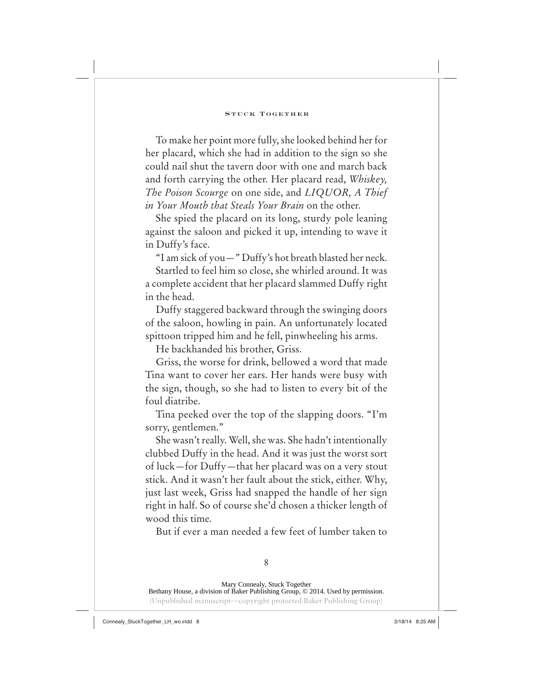To make her point more fully, she looked behind her for her placard, which she had in addition to the sign so she could nail shut the tavern door with one and march back and forth carrying the other. Her placard read, *Whiskey, The Poison Scourge* on one side, and *LIQUOR, A Thief in Your Mouth that Steals Your Brain* on the other.

She spied the placard on its long, sturdy pole leaning against the saloon and picked it up, intending to wave it in Duffy's face.

"I am sick of you—" Duffy's hot breath blasted her neck.

Startled to feel him so close, she whirled around. It was a complete accident that her placard slammed Duffy right in the head.

Duffy staggered backward through the swinging doors of the saloon, howling in pain. An unfortunately located spittoon tripped him and he fell, pinwheeling his arms.

He backhanded his brother, Griss.

Griss, the worse for drink, bellowed a word that made Tina want to cover her ears. Her hands were busy with the sign, though, so she had to listen to every bit of the foul diatribe.

Tina peeked over the top of the slapping doors. "I'm sorry, gentlemen."

She wasn't really. Well, she was. She hadn't intentionally clubbed Duffy in the head. And it was just the worst sort of luck—for Duffy—that her placard was on a very stout stick. And it wasn't her fault about the stick, either. Why, just last week, Griss had snapped the handle of her sign right in half. So of course she'd chosen a thicker length of wood this time.

But if ever a man needed a few feet of lumber taken to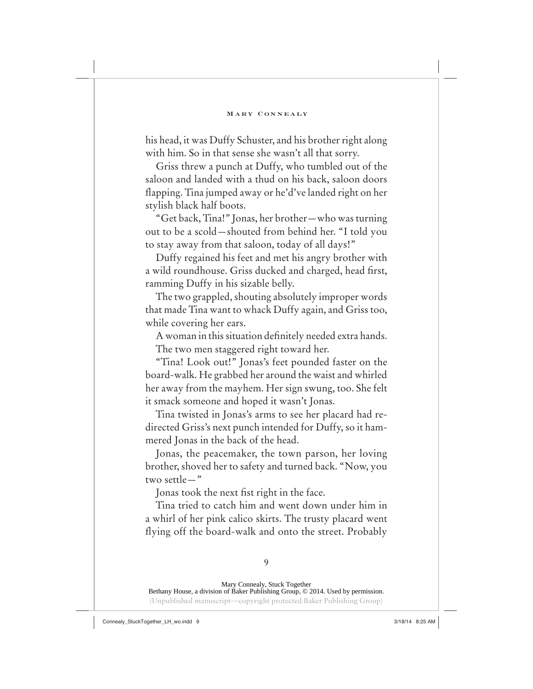his head, it was Duffy Schuster, and his brother right along with him. So in that sense she wasn't all that sorry.

Griss threw a punch at Duffy, who tumbled out of the saloon and landed with a thud on his back, saloon doors flapping. Tina jumped away or he'd've landed right on her stylish black half boots.

"Get back, Tina!" Jonas, her brother—who was turning out to be a scold—shouted from behind her. "I told you to stay away from that saloon, today of all days!"

Duffy regained his feet and met his angry brother with a wild roundhouse. Griss ducked and charged, head first, ramming Duffy in his sizable belly.

The two grappled, shouting absolutely improper words that made Tina want to whack Duffy again, and Griss too, while covering her ears.

A woman in this situation definitely needed extra hands. The two men staggered right toward her.

"Tina! Look out!" Jonas's feet pounded faster on the board-walk. He grabbed her around the waist and whirled her away from the mayhem. Her sign swung, too. She felt it smack someone and hoped it wasn't Jonas.

Tina twisted in Jonas's arms to see her placard had redirected Griss's next punch intended for Duffy, so it hammered Jonas in the back of the head.

Jonas, the peacemaker, the town parson, her loving brother, shoved her to safety and turned back. "Now, you two settle—"

Jonas took the next fist right in the face.

Tina tried to catch him and went down under him in a whirl of her pink calico skirts. The trusty placard went flying off the board-walk and onto the street. Probably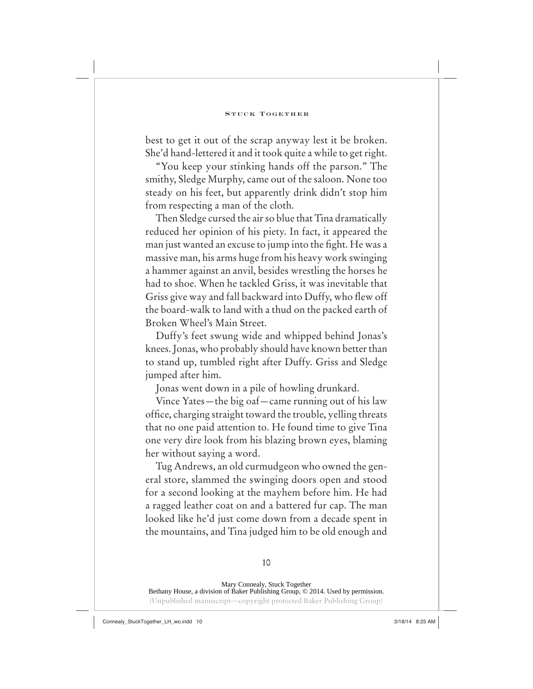best to get it out of the scrap anyway lest it be broken. She'd hand-lettered it and it took quite a while to get right.

"You keep your stinking hands off the parson." The smithy, Sledge Murphy, came out of the saloon. None too steady on his feet, but apparently drink didn't stop him from respecting a man of the cloth.

Then Sledge cursed the air so blue that Tina dramatically reduced her opinion of his piety. In fact, it appeared the man just wanted an excuse to jump into the fight. He was a massive man, his arms huge from his heavy work swinging a hammer against an anvil, besides wrestling the horses he had to shoe. When he tackled Griss, it was inevitable that Griss give way and fall backward into Duffy, who flew off the board-walk to land with a thud on the packed earth of Broken Wheel's Main Street.

Duffy's feet swung wide and whipped behind Jonas's knees. Jonas, who probably should have known better than to stand up, tumbled right after Duffy. Griss and Sledge jumped after him.

Jonas went down in a pile of howling drunkard.

Vince Yates—the big oaf—came running out of his law office, charging straight toward the trouble, yelling threats that no one paid attention to. He found time to give Tina one very dire look from his blazing brown eyes, blaming her without saying a word.

Tug Andrews, an old curmudgeon who owned the general store, slammed the swinging doors open and stood for a second looking at the mayhem before him. He had a ragged leather coat on and a battered fur cap. The man looked like he'd just come down from a decade spent in the mountains, and Tina judged him to be old enough and

10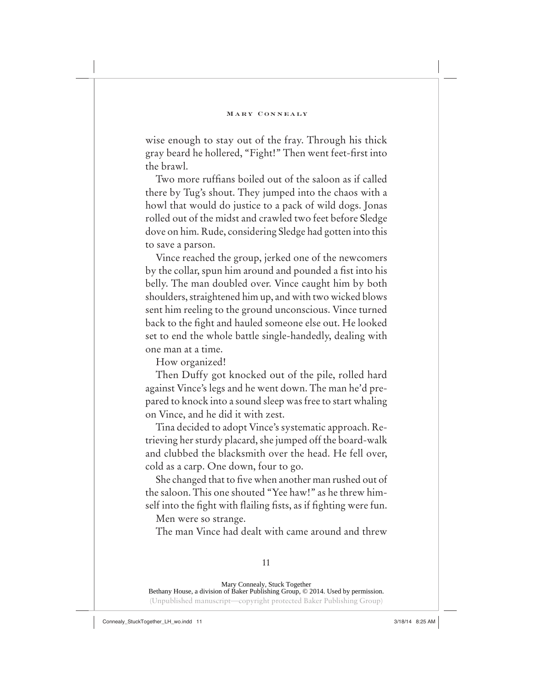wise enough to stay out of the fray. Through his thick gray beard he hollered, "Fight!" Then went feet-first into the brawl.

Two more ruffians boiled out of the saloon as if called there by Tug's shout. They jumped into the chaos with a howl that would do justice to a pack of wild dogs. Jonas rolled out of the midst and crawled two feet before Sledge dove on him. Rude, considering Sledge had gotten into this to save a parson.

Vince reached the group, jerked one of the newcomers by the collar, spun him around and pounded a fist into his belly. The man doubled over. Vince caught him by both shoulders, straightened him up, and with two wicked blows sent him reeling to the ground unconscious. Vince turned back to the fight and hauled someone else out. He looked set to end the whole battle single-handedly, dealing with one man at a time.

How organized!

Then Duffy got knocked out of the pile, rolled hard against Vince's legs and he went down. The man he'd prepared to knock into a sound sleep was free to start whaling on Vince, and he did it with zest.

Tina decided to adopt Vince's systematic approach. Retrieving her sturdy placard, she jumped off the board-walk and clubbed the blacksmith over the head. He fell over, cold as a carp. One down, four to go.

She changed that to five when another man rushed out of the saloon. This one shouted "Yee haw!" as he threw himself into the fight with flailing fists, as if fighting were fun.

Men were so strange.

The man Vince had dealt with came around and threw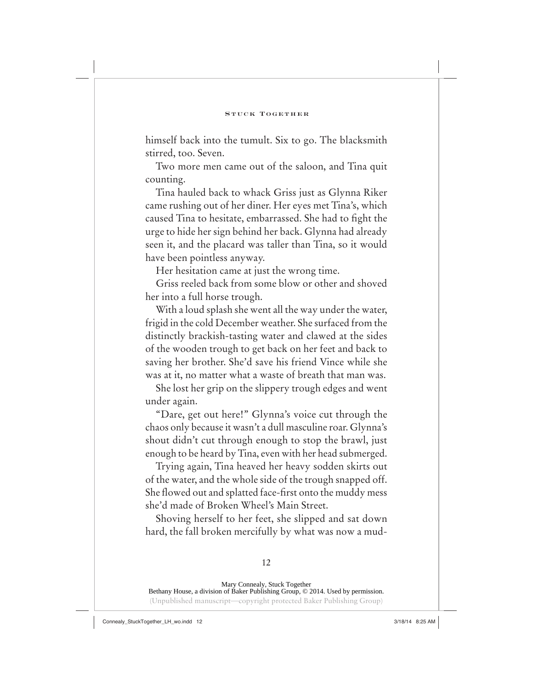himself back into the tumult. Six to go. The blacksmith stirred, too. Seven.

Two more men came out of the saloon, and Tina quit counting.

Tina hauled back to whack Griss just as Glynna Riker came rushing out of her diner. Her eyes met Tina's, which caused Tina to hesitate, embarrassed. She had to fight the urge to hide her sign behind her back. Glynna had already seen it, and the placard was taller than Tina, so it would have been pointless anyway.

Her hesitation came at just the wrong time.

Griss reeled back from some blow or other and shoved her into a full horse trough.

With a loud splash she went all the way under the water, frigid in the cold December weather. She surfaced from the distinctly brackish-tasting water and clawed at the sides of the wooden trough to get back on her feet and back to saving her brother. She'd save his friend Vince while she was at it, no matter what a waste of breath that man was.

She lost her grip on the slippery trough edges and went under again.

"Dare, get out here!" Glynna's voice cut through the chaos only because it wasn't a dull masculine roar. Glynna's shout didn't cut through enough to stop the brawl, just enough to be heard by Tina, even with her head submerged.

Trying again, Tina heaved her heavy sodden skirts out of the water, and the whole side of the trough snapped off. She flowed out and splatted face-first onto the muddy mess she'd made of Broken Wheel's Main Street.

Shoving herself to her feet, she slipped and sat down hard, the fall broken mercifully by what was now a mud-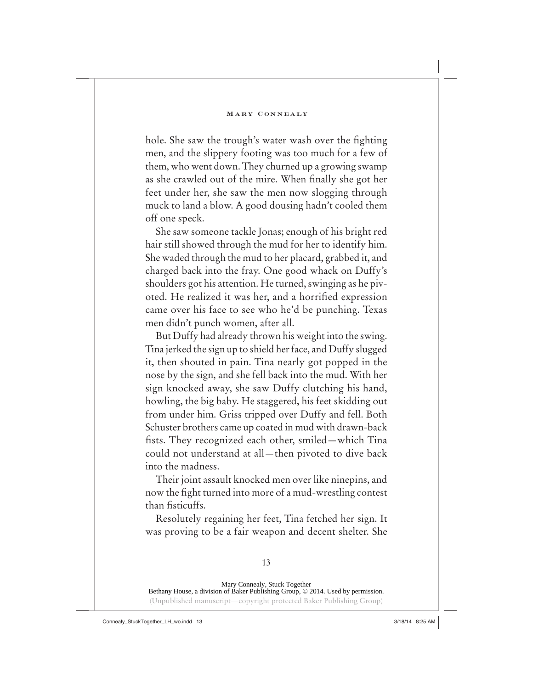hole. She saw the trough's water wash over the fighting men, and the slippery footing was too much for a few of them, who went down. They churned up a growing swamp as she crawled out of the mire. When finally she got her feet under her, she saw the men now slogging through muck to land a blow. A good dousing hadn't cooled them off one speck.

She saw someone tackle Jonas; enough of his bright red hair still showed through the mud for her to identify him. She waded through the mud to her placard, grabbed it, and charged back into the fray. One good whack on Duffy's shoulders got his attention. He turned, swinging as he pivoted. He realized it was her, and a horrified expression came over his face to see who he'd be punching. Texas men didn't punch women, after all.

But Duffy had already thrown his weight into the swing. Tina jerked the sign up to shield her face, and Duffy slugged it, then shouted in pain. Tina nearly got popped in the nose by the sign, and she fell back into the mud. With her sign knocked away, she saw Duffy clutching his hand, howling, the big baby. He staggered, his feet skidding out from under him. Griss tripped over Duffy and fell. Both Schuster brothers came up coated in mud with drawn-back fists. They recognized each other, smiled—which Tina could not understand at all—then pivoted to dive back into the madness.

Their joint assault knocked men over like ninepins, and now the fight turned into more of a mud-wrestling contest than fisticuffs.

Resolutely regaining her feet, Tina fetched her sign. It was proving to be a fair weapon and decent shelter. She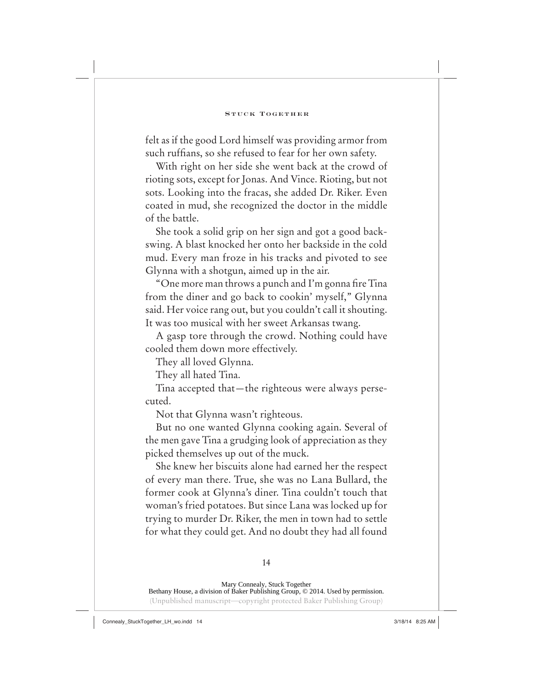felt as if the good Lord himself was providing armor from such ruffians, so she refused to fear for her own safety.

With right on her side she went back at the crowd of rioting sots, except for Jonas. And Vince. Rioting, but not sots. Looking into the fracas, she added Dr. Riker. Even coated in mud, she recognized the doctor in the middle of the battle.

She took a solid grip on her sign and got a good backswing. A blast knocked her onto her backside in the cold mud. Every man froze in his tracks and pivoted to see Glynna with a shotgun, aimed up in the air.

"One more man throws a punch and I'm gonna fire Tina from the diner and go back to cookin' myself," Glynna said. Her voice rang out, but you couldn't call it shouting. It was too musical with her sweet Arkansas twang.

A gasp tore through the crowd. Nothing could have cooled them down more effectively.

They all loved Glynna.

They all hated Tina.

Tina accepted that—the righteous were always persecuted.

Not that Glynna wasn't righteous.

But no one wanted Glynna cooking again. Several of the men gave Tina a grudging look of appreciation as they picked themselves up out of the muck.

She knew her biscuits alone had earned her the respect of every man there. True, she was no Lana Bullard, the former cook at Glynna's diner. Tina couldn't touch that woman's fried potatoes. But since Lana was locked up for trying to murder Dr. Riker, the men in town had to settle for what they could get. And no doubt they had all found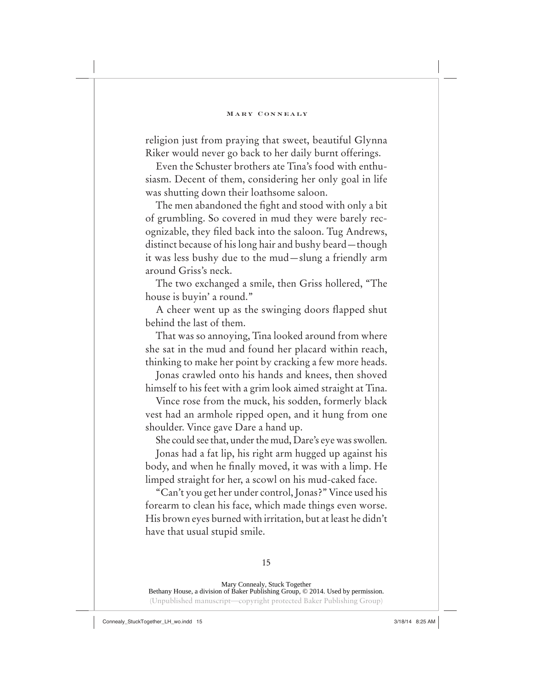religion just from praying that sweet, beautiful Glynna Riker would never go back to her daily burnt offerings.

Even the Schuster brothers ate Tina's food with enthusiasm. Decent of them, considering her only goal in life was shutting down their loathsome saloon.

The men abandoned the fight and stood with only a bit of grumbling. So covered in mud they were barely recognizable, they filed back into the saloon. Tug Andrews, distinct because of his long hair and bushy beard—though it was less bushy due to the mud—slung a friendly arm around Griss's neck.

The two exchanged a smile, then Griss hollered, "The house is buyin' a round."

A cheer went up as the swinging doors flapped shut behind the last of them.

That was so annoying, Tina looked around from where she sat in the mud and found her placard within reach, thinking to make her point by cracking a few more heads.

Jonas crawled onto his hands and knees, then shoved himself to his feet with a grim look aimed straight at Tina.

Vince rose from the muck, his sodden, formerly black vest had an armhole ripped open, and it hung from one shoulder. Vince gave Dare a hand up.

She could see that, under the mud, Dare's eye was swollen.

Jonas had a fat lip, his right arm hugged up against his body, and when he finally moved, it was with a limp. He limped straight for her, a scowl on his mud-caked face.

"Can't you get her under control, Jonas?" Vince used his forearm to clean his face, which made things even worse. His brown eyes burned with irritation, but at least he didn't have that usual stupid smile.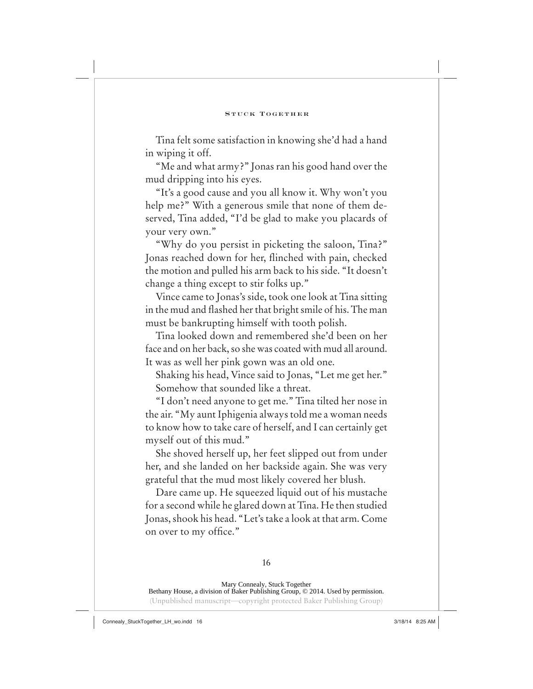Tina felt some satisfaction in knowing she'd had a hand in wiping it off.

"Me and what army?" Jonas ran his good hand over the mud dripping into his eyes.

"It's a good cause and you all know it. Why won't you help me?" With a generous smile that none of them deserved, Tina added, "I'd be glad to make you placards of your very own."

"Why do you persist in picketing the saloon, Tina?" Jonas reached down for her, flinched with pain, checked the motion and pulled his arm back to his side. "It doesn't change a thing except to stir folks up."

Vince came to Jonas's side, took one look at Tina sitting in the mud and flashed her that bright smile of his. The man must be bankrupting himself with tooth polish.

Tina looked down and remembered she'd been on her face and on her back, so she was coated with mud all around. It was as well her pink gown was an old one.

Shaking his head, Vince said to Jonas, "Let me get her." Somehow that sounded like a threat.

"I don't need anyone to get me." Tina tilted her nose in the air. "My aunt Iphigenia always told me a woman needs to know how to take care of herself, and I can certainly get myself out of this mud."

She shoved herself up, her feet slipped out from under her, and she landed on her backside again. She was very grateful that the mud most likely covered her blush.

Dare came up. He squeezed liquid out of his mustache for a second while he glared down at Tina. He then studied Jonas, shook his head. "Let's take a look at that arm. Come on over to my office."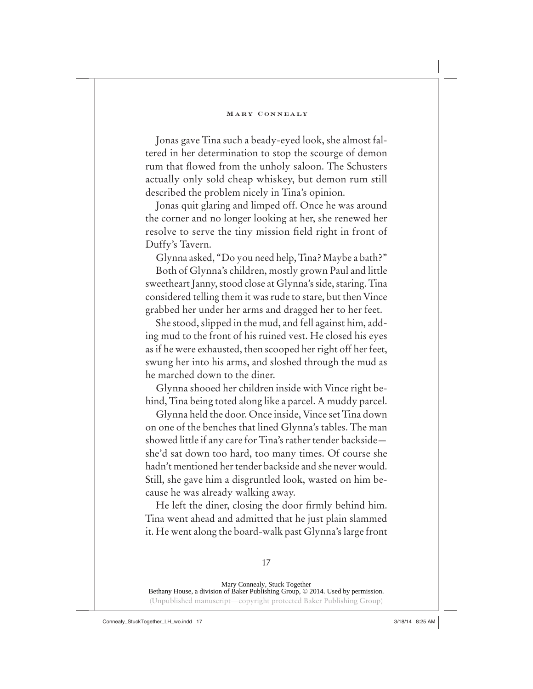Jonas gave Tina such a beady-eyed look, she almost faltered in her determination to stop the scourge of demon rum that flowed from the unholy saloon. The Schusters actually only sold cheap whiskey, but demon rum still described the problem nicely in Tina's opinion.

Jonas quit glaring and limped off. Once he was around the corner and no longer looking at her, she renewed her resolve to serve the tiny mission field right in front of Duffy's Tavern.

Glynna asked, "Do you need help, Tina? Maybe a bath?"

Both of Glynna's children, mostly grown Paul and little sweetheart Janny, stood close at Glynna's side, staring. Tina considered telling them it was rude to stare, but then Vince grabbed her under her arms and dragged her to her feet.

She stood, slipped in the mud, and fell against him, adding mud to the front of his ruined vest. He closed his eyes as if he were exhausted, then scooped her right off her feet, swung her into his arms, and sloshed through the mud as he marched down to the diner.

Glynna shooed her children inside with Vince right behind, Tina being toted along like a parcel. A muddy parcel.

Glynna held the door. Once inside, Vince set Tina down on one of the benches that lined Glynna's tables. The man showed little if any care for Tina's rather tender backside she'd sat down too hard, too many times. Of course she hadn't mentioned her tender backside and she never would. Still, she gave him a disgruntled look, wasted on him because he was already walking away.

He left the diner, closing the door firmly behind him. Tina went ahead and admitted that he just plain slammed it. He went along the board-walk past Glynna's large front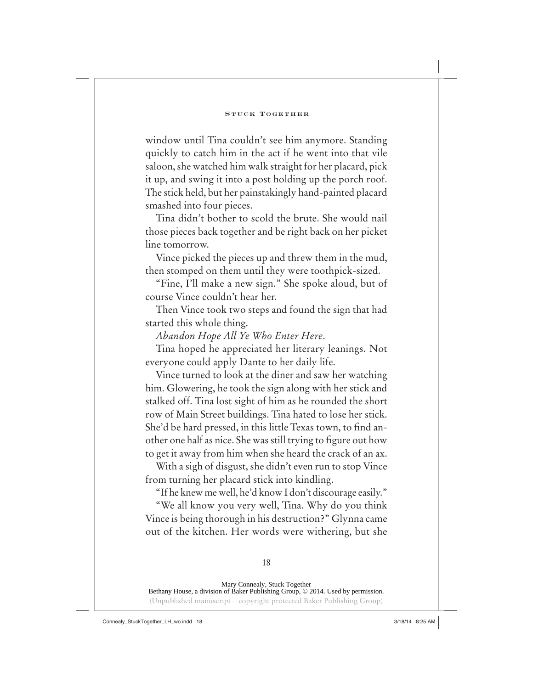window until Tina couldn't see him anymore. Standing quickly to catch him in the act if he went into that vile saloon, she watched him walk straight for her placard, pick it up, and swing it into a post holding up the porch roof. The stick held, but her painstakingly hand-painted placard smashed into four pieces.

Tina didn't bother to scold the brute. She would nail those pieces back together and be right back on her picket line tomorrow.

Vince picked the pieces up and threw them in the mud, then stomped on them until they were toothpick-sized.

"Fine, I'll make a new sign." She spoke aloud, but of course Vince couldn't hear her.

Then Vince took two steps and found the sign that had started this whole thing.

## *Abandon Hope All Ye Who Enter Here*.

Tina hoped he appreciated her literary leanings. Not everyone could apply Dante to her daily life.

Vince turned to look at the diner and saw her watching him. Glowering, he took the sign along with her stick and stalked off. Tina lost sight of him as he rounded the short row of Main Street buildings. Tina hated to lose her stick. She'd be hard pressed, in this little Texas town, to find another one half as nice. She was still trying to figure out how to get it away from him when she heard the crack of an ax.

With a sigh of disgust, she didn't even run to stop Vince from turning her placard stick into kindling.

"If he knew me well, he'd know I don't discourage easily."

"We all know you very well, Tina. Why do you think Vince is being thorough in his destruction?" Glynna came out of the kitchen. Her words were withering, but she